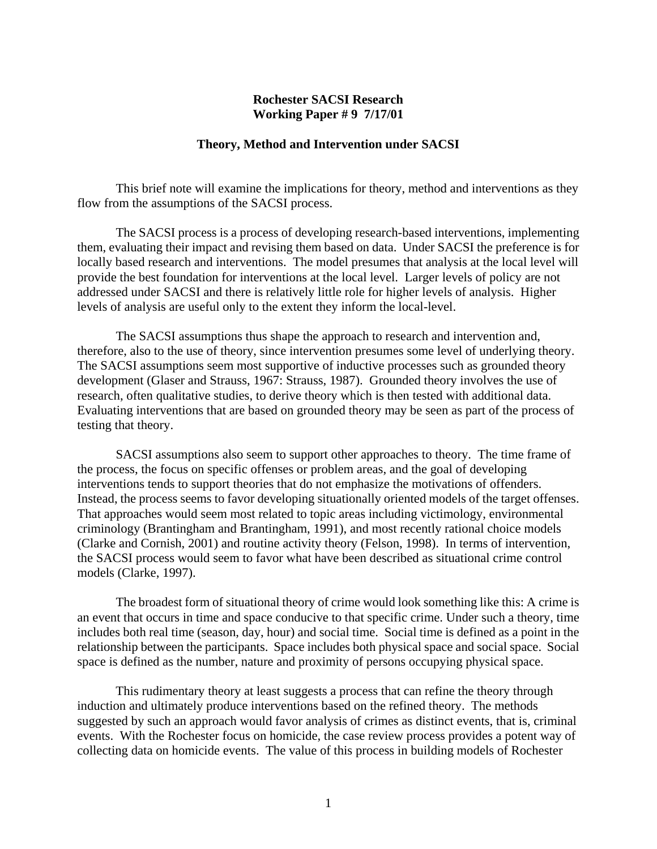## **Rochester SACSI Research Working Paper # 9 7/17/01**

## **Theory, Method and Intervention under SACSI**

 This brief note will examine the implications for theory, method and interventions as they flow from the assumptions of the SACSI process.

 The SACSI process is a process of developing research-based interventions, implementing them, evaluating their impact and revising them based on data. Under SACSI the preference is for locally based research and interventions. The model presumes that analysis at the local level will provide the best foundation for interventions at the local level. Larger levels of policy are not addressed under SACSI and there is relatively little role for higher levels of analysis. Higher levels of analysis are useful only to the extent they inform the local-level.

 The SACSI assumptions thus shape the approach to research and intervention and, therefore, also to the use of theory, since intervention presumes some level of underlying theory. The SACSI assumptions seem most supportive of inductive processes such as grounded theory development (Glaser and Strauss, 1967: Strauss, 1987). Grounded theory involves the use of research, often qualitative studies, to derive theory which is then tested with additional data. Evaluating interventions that are based on grounded theory may be seen as part of the process of testing that theory.

 SACSI assumptions also seem to support other approaches to theory. The time frame of the process, the focus on specific offenses or problem areas, and the goal of developing interventions tends to support theories that do not emphasize the motivations of offenders. Instead, the process seems to favor developing situationally oriented models of the target offenses. That approaches would seem most related to topic areas including victimology, environmental criminology (Brantingham and Brantingham, 1991), and most recently rational choice models (Clarke and Cornish, 2001) and routine activity theory (Felson, 1998). In terms of intervention, the SACSI process would seem to favor what have been described as situational crime control models (Clarke, 1997).

 The broadest form of situational theory of crime would look something like this: A crime is an event that occurs in time and space conducive to that specific crime. Under such a theory, time includes both real time (season, day, hour) and social time. Social time is defined as a point in the relationship between the participants. Space includes both physical space and social space. Social space is defined as the number, nature and proximity of persons occupying physical space.

 This rudimentary theory at least suggests a process that can refine the theory through induction and ultimately produce interventions based on the refined theory. The methods suggested by such an approach would favor analysis of crimes as distinct events, that is, criminal events. With the Rochester focus on homicide, the case review process provides a potent way of collecting data on homicide events. The value of this process in building models of Rochester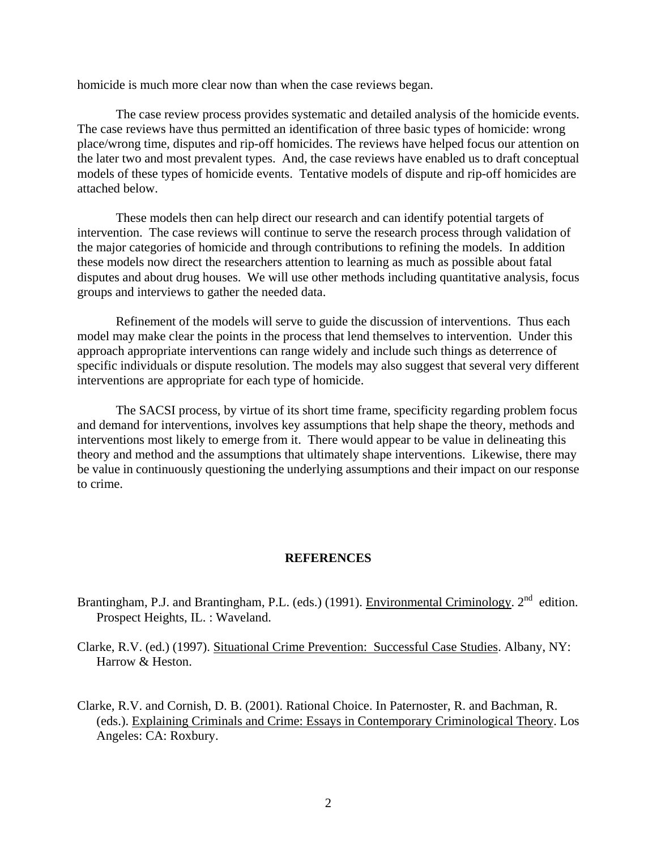homicide is much more clear now than when the case reviews began.

The case review process provides systematic and detailed analysis of the homicide events. The case reviews have thus permitted an identification of three basic types of homicide: wrong place/wrong time, disputes and rip-off homicides. The reviews have helped focus our attention on the later two and most prevalent types. And, the case reviews have enabled us to draft conceptual models of these types of homicide events. Tentative models of dispute and rip-off homicides are attached below.

 These models then can help direct our research and can identify potential targets of intervention. The case reviews will continue to serve the research process through validation of the major categories of homicide and through contributions to refining the models. In addition these models now direct the researchers attention to learning as much as possible about fatal disputes and about drug houses. We will use other methods including quantitative analysis, focus groups and interviews to gather the needed data.

 Refinement of the models will serve to guide the discussion of interventions. Thus each model may make clear the points in the process that lend themselves to intervention. Under this approach appropriate interventions can range widely and include such things as deterrence of specific individuals or dispute resolution. The models may also suggest that several very different interventions are appropriate for each type of homicide.

 The SACSI process, by virtue of its short time frame, specificity regarding problem focus and demand for interventions, involves key assumptions that help shape the theory, methods and interventions most likely to emerge from it. There would appear to be value in delineating this theory and method and the assumptions that ultimately shape interventions. Likewise, there may be value in continuously questioning the underlying assumptions and their impact on our response to crime.

## **REFERENCES**

- Brantingham, P.J. and Brantingham, P.L. (eds.) (1991). Environmental Criminology. 2<sup>nd</sup> edition. Prospect Heights, IL. : Waveland.
- Clarke, R.V. (ed.) (1997). Situational Crime Prevention: Successful Case Studies. Albany, NY: Harrow & Heston.
- Clarke, R.V. and Cornish, D. B. (2001). Rational Choice. In Paternoster, R. and Bachman, R. (eds.). Explaining Criminals and Crime: Essays in Contemporary Criminological Theory. Los Angeles: CA: Roxbury.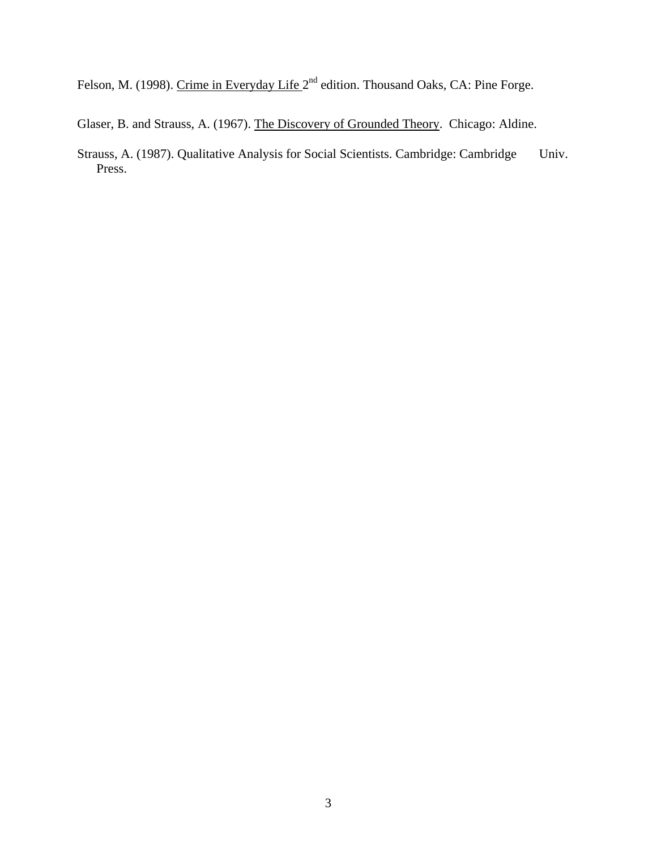Felson, M. (1998). Crime in Everyday Life 2<sup>nd</sup> edition. Thousand Oaks, CA: Pine Forge.

Glaser, B. and Strauss, A. (1967). The Discovery of Grounded Theory. Chicago: Aldine.

Strauss, A. (1987). Qualitative Analysis for Social Scientists. Cambridge: Cambridge Univ. Press.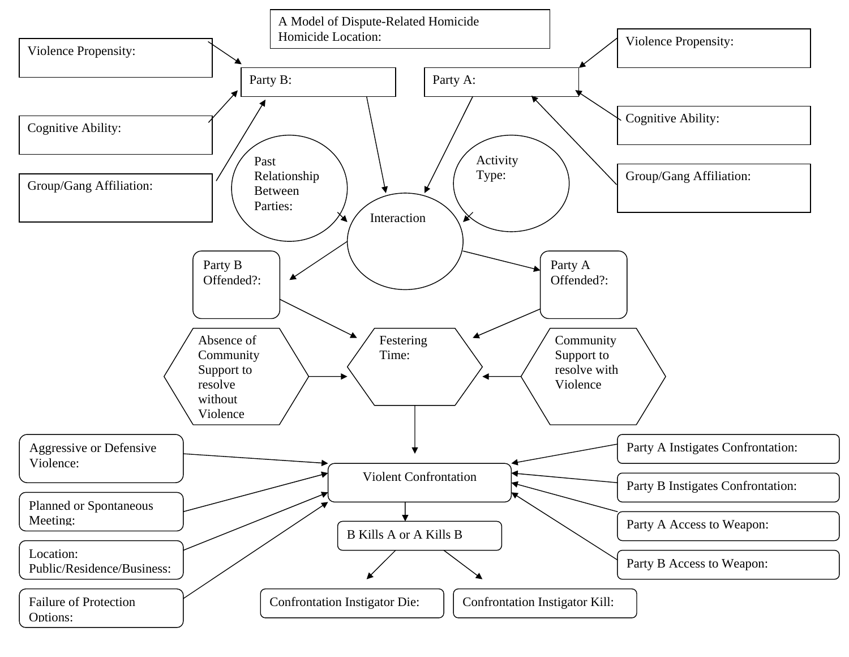